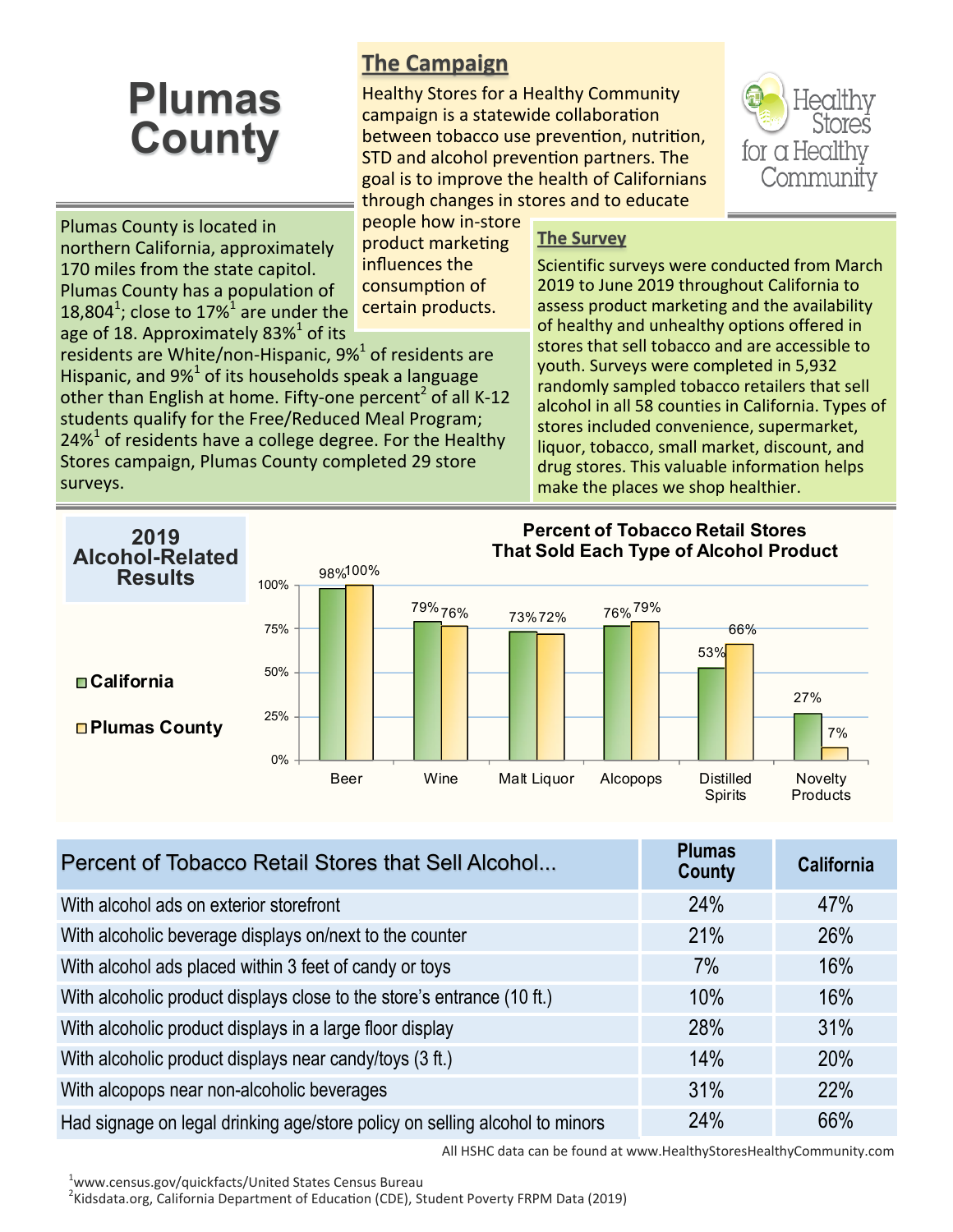## **Plumas County**

northern California, approximately 170 miles from the state capitol. Plumas County has a population of

Plumas County is located in

## **The Campaign**

Healthy Stores for a Healthy Community campaign is a statewide collaboration between tobacco use prevention, nutrition, STD and alcohol prevention partners. The goal is to improve the health of Californians through changes in stores and to educate

18,804<sup>1</sup>; close to 17%<sup>1</sup> are under the people how in-store product marketing influences the consumption of certain products.

age of 18. Approximately 83% $^1$  of its residents are White/non-Hispanic, 9%<sup>1</sup> of residents are Hispanic, and 9% $^{1}$  of its households speak a language other than English at home. Fifty-one percent<sup>2</sup> of all K-12 students qualify for the Free/Reduced Meal Program; 24% $1$  of residents have a college degree. For the Healthy Stores campaign, Plumas County completed 29 store surveys.

## **The Survey**

Scientific surveys were conducted from March 2019 to June 2019 throughout California to assess product marketing and the availability of healthy and unhealthy options offered in stores that sell tobacco and are accessible to youth. Surveys were completed in 5,932 randomly sampled tobacco retailers that sell alcohol in all 58 counties in California. Types of stores included convenience, supermarket, liquor, tobacco, small market, discount, and drug stores. This valuable information helps make the places we shop healthier.



| Percent of Tobacco Retail Stores that Sell Alcohol                          | <b>Plumas</b><br><b>County</b> | <b>California</b> |
|-----------------------------------------------------------------------------|--------------------------------|-------------------|
| With alcohol ads on exterior storefront                                     | 24%                            | 47%               |
| With alcoholic beverage displays on/next to the counter                     | 21%                            | 26%               |
| With alcohol ads placed within 3 feet of candy or toys                      | 7%                             | 16%               |
| With alcoholic product displays close to the store's entrance (10 ft.)      | 10%                            | 16%               |
| With alcoholic product displays in a large floor display                    | 28%                            | 31%               |
| With alcoholic product displays near candy/toys (3 ft.)                     | 14%                            | 20%               |
| With alcopops near non-alcoholic beverages                                  | 31%                            | 22%               |
| Had signage on legal drinking age/store policy on selling alcohol to minors | 24%                            | 66%               |

All HSHC data can be found at www.HealthyStoresHealthyCommunity.com

<sup>1</sup>www.census.gov/quickfacts/United States Census Bureau

<sup>2</sup>Kidsdata.org, California Department of Education (CDE), Student Poverty FRPM Data (2019)